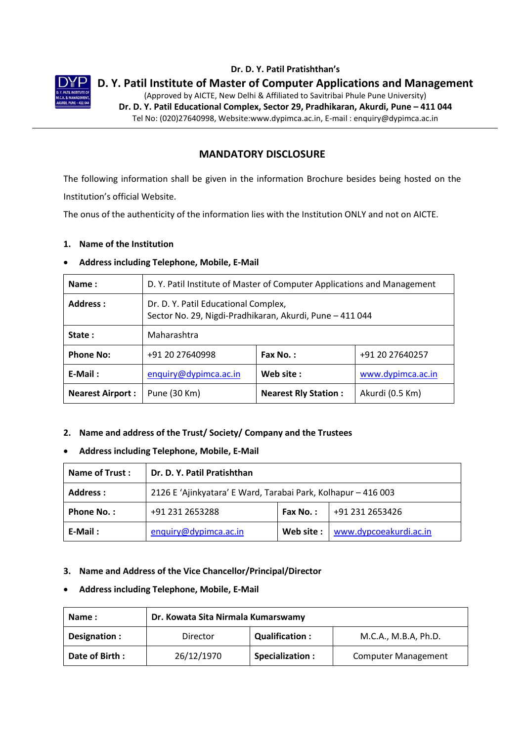

### **Dr. D. Y. Patil Pratishthan's**

**D. Y. Patil Institute of Master of Computer Applications and Management**

(Approved by AICTE, New Delhi & Affiliated to Savitribai Phule Pune University) **Dr. D. Y. Patil Educational Complex, Sector 29, Pradhikaran, Akurdi, Pune – 411 044** Tel No: (020)27640998, Website:www.dypimca.ac.in, E-mail : enquiry@dypimca.ac.in

# **MANDATORY DISCLOSURE**

The following information shall be given in the information Brochure besides being hosted on the Institution's official Website.

The onus of the authenticity of the information lies with the Institution ONLY and not on AICTE.

### **1. Name of the Institution**

### **Address including Telephone, Mobile, E-Mail**

| Name:                   | D. Y. Patil Institute of Master of Computer Applications and Management                          |                             |                 |  |
|-------------------------|--------------------------------------------------------------------------------------------------|-----------------------------|-----------------|--|
| Address :               | Dr. D. Y. Patil Educational Complex,<br>Sector No. 29, Nigdi-Pradhikaran, Akurdi, Pune - 411 044 |                             |                 |  |
| State:                  | Maharashtra                                                                                      |                             |                 |  |
| <b>Phone No:</b>        | +91 20 27640998<br>Fax No.:<br>+91 20 27640257                                                   |                             |                 |  |
| $E-Mail:$               | Web site:<br>www.dypimca.ac.in<br>enquiry@dypimca.ac.in                                          |                             |                 |  |
| <b>Nearest Airport:</b> | Pune (30 Km)                                                                                     | <b>Nearest Rly Station:</b> | Akurdi (0.5 Km) |  |

# **2. Name and address of the Trust/ Society/ Company and the Trustees**

# **Address including Telephone, Mobile, E-Mail**

| <b>Name of Trust:</b> | Dr. D. Y. Patil Pratishthan                                   |            |                        |
|-----------------------|---------------------------------------------------------------|------------|------------------------|
| Address:              | 2126 E 'Ajinkyatara' E Ward, Tarabai Park, Kolhapur - 416 003 |            |                        |
| <b>Phone No.:</b>     | +91 231 2653288<br>+91 231 2653426<br>Fax No.:                |            |                        |
| E-Mail:               | enquiry@dypimca.ac.in                                         | Web site : | www.dypcoeakurdi.ac.in |

### **3. Name and Address of the Vice Chancellor/Principal/Director**

### **Address including Telephone, Mobile, E-Mail**

| Name:          | Dr. Kowata Sita Nirmala Kumarswamy                        |                  |                            |  |
|----------------|-----------------------------------------------------------|------------------|----------------------------|--|
| Designation:   | <b>Qualification:</b><br>M.C.A., M.B.A, Ph.D.<br>Director |                  |                            |  |
| Date of Birth: | 26/12/1970                                                | Specialization : | <b>Computer Management</b> |  |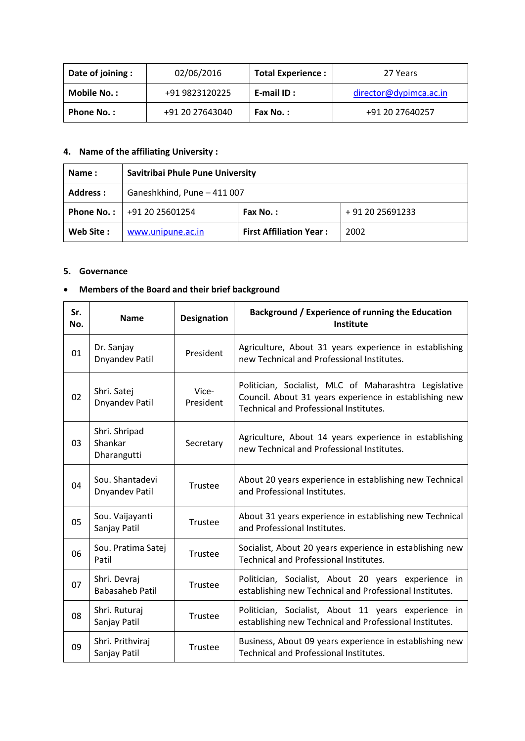| Date of joining : | 02/06/2016      | <b>Total Experience:</b> | 27 Years               |
|-------------------|-----------------|--------------------------|------------------------|
| Mobile No.:       | +91 9823120225  | E-mail ID:               | director@dypimca.ac.in |
| <b>Phone No.:</b> | +91 20 27643040 | Fax No.:                 | +91 20 27640257        |

# **4. Name of the affiliating University :**

| Name:      | Savitribai Phule Pune University               |                                |      |
|------------|------------------------------------------------|--------------------------------|------|
| Address :  | Ganeshkhind, Pune - 411 007                    |                                |      |
| Phone No.: | +91 20 25691233<br>+91 20 25601254<br>Fax No.: |                                |      |
| Web Site:  | www.unipune.ac.in                              | <b>First Affiliation Year:</b> | 2002 |

#### **5. Governance**

# **Members of the Board and their brief background**

| Sr.<br>No. | <b>Name</b>                              | <b>Designation</b> | Background / Experience of running the Education<br>Institute                                                                                                    |
|------------|------------------------------------------|--------------------|------------------------------------------------------------------------------------------------------------------------------------------------------------------|
| 01         | Dr. Sanjay<br>Dnyandev Patil             | President          | Agriculture, About 31 years experience in establishing<br>new Technical and Professional Institutes.                                                             |
| 02         | Shri. Satej<br>Dnyandev Patil            | Vice-<br>President | Politician, Socialist, MLC of Maharashtra Legislative<br>Council. About 31 years experience in establishing new<br><b>Technical and Professional Institutes.</b> |
| 03         | Shri. Shripad<br>Shankar<br>Dharangutti  | Secretary          | Agriculture, About 14 years experience in establishing<br>new Technical and Professional Institutes.                                                             |
| 04         | Sou. Shantadevi<br><b>Dnyandev Patil</b> | Trustee            | About 20 years experience in establishing new Technical<br>and Professional Institutes.                                                                          |
| 05         | Sou. Vaijayanti<br>Sanjay Patil          | Trustee            | About 31 years experience in establishing new Technical<br>and Professional Institutes.                                                                          |
| 06         | Sou. Pratima Satej<br>Patil              | Trustee            | Socialist, About 20 years experience in establishing new<br><b>Technical and Professional Institutes.</b>                                                        |
| 07         | Shri. Devraj<br><b>Babasaheb Patil</b>   | Trustee            | Politician, Socialist, About 20 years experience in<br>establishing new Technical and Professional Institutes.                                                   |
| 08         | Shri. Ruturaj<br>Sanjay Patil            | Trustee            | Politician, Socialist, About 11 years experience in<br>establishing new Technical and Professional Institutes.                                                   |
| 09         | Shri. Prithviraj<br>Sanjay Patil         | Trustee            | Business, About 09 years experience in establishing new<br>Technical and Professional Institutes.                                                                |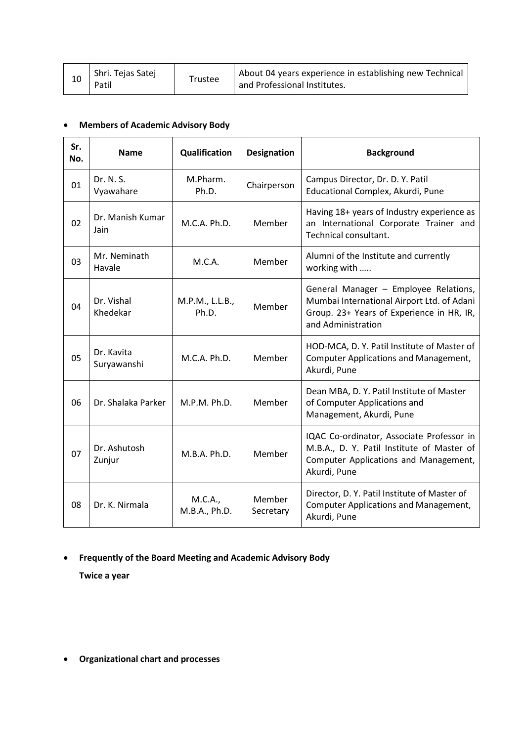# **Members of Academic Advisory Body**

| Sr.<br>No. | <b>Name</b>               | Qualification            | <b>Designation</b>  | <b>Background</b>                                                                                                                                      |
|------------|---------------------------|--------------------------|---------------------|--------------------------------------------------------------------------------------------------------------------------------------------------------|
| 01         | Dr. N. S.<br>Vyawahare    | M.Pharm.<br>Ph.D.        | Chairperson         | Campus Director, Dr. D. Y. Patil<br>Educational Complex, Akurdi, Pune                                                                                  |
| 02         | Dr. Manish Kumar<br>Jain  | M.C.A. Ph.D.             | Member              | Having 18+ years of Industry experience as<br>an International Corporate Trainer and<br>Technical consultant.                                          |
| 03         | Mr. Neminath<br>Havale    | M.C.A.                   | Member              | Alumni of the Institute and currently<br>working with                                                                                                  |
| 04         | Dr. Vishal<br>Khedekar    | M.P.M., L.L.B.,<br>Ph.D. | Member              | General Manager - Employee Relations,<br>Mumbai International Airport Ltd. of Adani<br>Group. 23+ Years of Experience in HR, IR,<br>and Administration |
| 05         | Dr. Kavita<br>Suryawanshi | M.C.A. Ph.D.             | Member              | HOD-MCA, D. Y. Patil Institute of Master of<br><b>Computer Applications and Management,</b><br>Akurdi, Pune                                            |
| 06         | Dr. Shalaka Parker        | M.P.M. Ph.D.             | Member              | Dean MBA, D. Y. Patil Institute of Master<br>of Computer Applications and<br>Management, Akurdi, Pune                                                  |
| 07         | Dr. Ashutosh<br>Zunjur    | M.B.A. Ph.D.             | Member              | IQAC Co-ordinator, Associate Professor in<br>M.B.A., D. Y. Patil Institute of Master of<br>Computer Applications and Management,<br>Akurdi, Pune       |
| 08         | Dr. K. Nirmala            | M.C.A.,<br>M.B.A., Ph.D. | Member<br>Secretary | Director, D. Y. Patil Institute of Master of<br><b>Computer Applications and Management,</b><br>Akurdi, Pune                                           |

# **Frequently of the Board Meeting and Academic Advisory Body**

**Twice a year**

**Organizational chart and processes**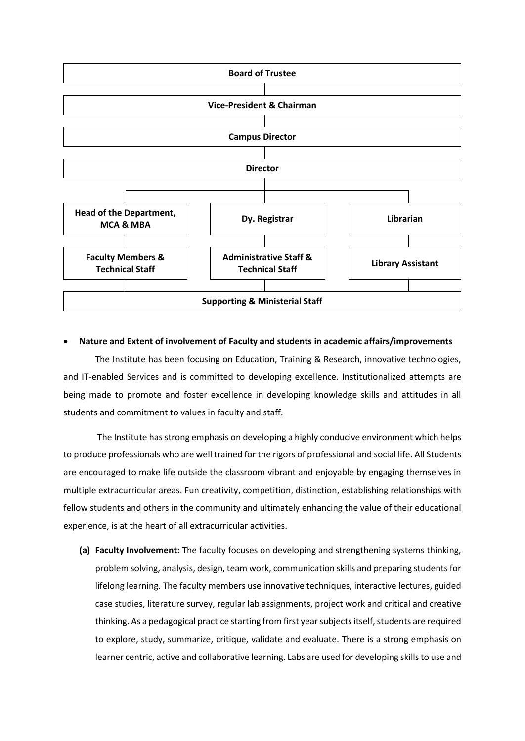

#### **Nature and Extent of involvement of Faculty and students in academic affairs/improvements**

The Institute has been focusing on Education, Training & Research, innovative technologies, and IT-enabled Services and is committed to developing excellence. Institutionalized attempts are being made to promote and foster excellence in developing knowledge skills and attitudes in all students and commitment to values in faculty and staff.

The Institute has strong emphasis on developing a highly conducive environment which helps to produce professionals who are well trained for the rigors of professional and social life. All Students are encouraged to make life outside the classroom vibrant and enjoyable by engaging themselves in multiple extracurricular areas. Fun creativity, competition, distinction, establishing relationships with fellow students and others in the community and ultimately enhancing the value of their educational experience, is at the heart of all extracurricular activities.

**(a) Faculty Involvement:** The faculty focuses on developing and strengthening systems thinking, problem solving, analysis, design, team work, communication skills and preparing students for lifelong learning. The faculty members use innovative techniques, interactive lectures, guided case studies, literature survey, regular lab assignments, project work and critical and creative thinking. As a pedagogical practice starting from first year subjects itself, students are required to explore, study, summarize, critique, validate and evaluate. There is a strong emphasis on learner centric, active and collaborative learning. Labs are used for developing skills to use and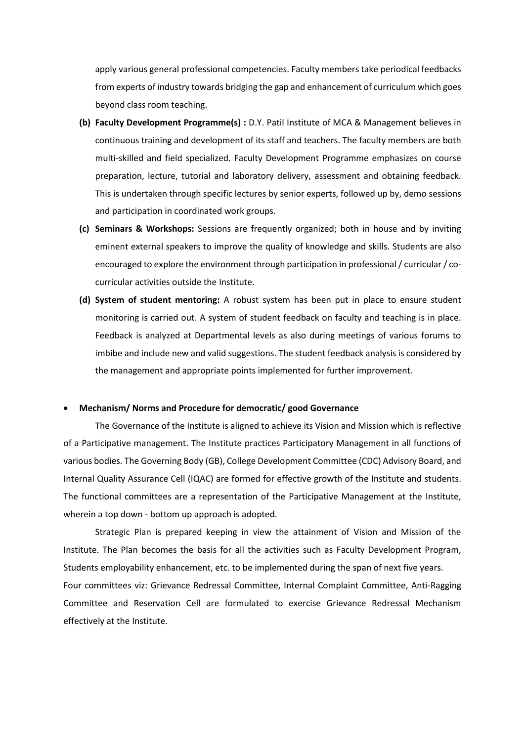apply various general professional competencies. Faculty members take periodical feedbacks from experts of industry towards bridging the gap and enhancement of curriculum which goes beyond class room teaching.

- **(b) Faculty Development Programme(s) :** D.Y. Patil Institute of MCA & Management believes in continuous training and development of its staff and teachers. The faculty members are both multi-skilled and field specialized. Faculty Development Programme emphasizes on course preparation, lecture, tutorial and laboratory delivery, assessment and obtaining feedback. This is undertaken through specific lectures by senior experts, followed up by, demo sessions and participation in coordinated work groups.
- **(c) Seminars & Workshops:** Sessions are frequently organized; both in house and by inviting eminent external speakers to improve the quality of knowledge and skills. Students are also encouraged to explore the environment through participation in professional / curricular / cocurricular activities outside the Institute.
- **(d) System of student mentoring:** A robust system has been put in place to ensure student monitoring is carried out. A system of student feedback on faculty and teaching is in place. Feedback is analyzed at Departmental levels as also during meetings of various forums to imbibe and include new and valid suggestions. The student feedback analysis is considered by the management and appropriate points implemented for further improvement.

#### **Mechanism/ Norms and Procedure for democratic/ good Governance**

The Governance of the Institute is aligned to achieve its Vision and Mission which is reflective of a Participative management. The Institute practices Participatory Management in all functions of various bodies. The Governing Body (GB), College Development Committee (CDC) Advisory Board, and Internal Quality Assurance Cell (IQAC) are formed for effective growth of the Institute and students. The functional committees are a representation of the Participative Management at the Institute, wherein a top down - bottom up approach is adopted.

Strategic Plan is prepared keeping in view the attainment of Vision and Mission of the Institute. The Plan becomes the basis for all the activities such as Faculty Development Program, Students employability enhancement, etc. to be implemented during the span of next five years. Four committees viz: Grievance Redressal Committee, Internal Complaint Committee, Anti-Ragging Committee and Reservation Cell are formulated to exercise Grievance Redressal Mechanism effectively at the Institute.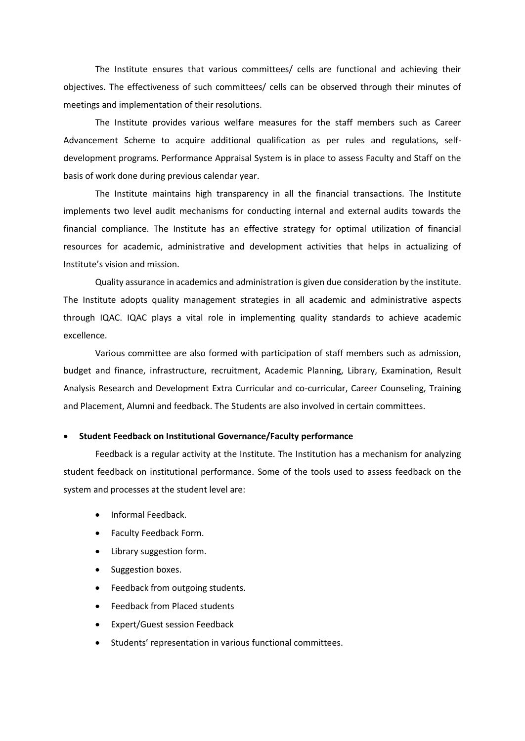The Institute ensures that various committees/ cells are functional and achieving their objectives. The effectiveness of such committees/ cells can be observed through their minutes of meetings and implementation of their resolutions.

The Institute provides various welfare measures for the staff members such as Career Advancement Scheme to acquire additional qualification as per rules and regulations, selfdevelopment programs. Performance Appraisal System is in place to assess Faculty and Staff on the basis of work done during previous calendar year.

The Institute maintains high transparency in all the financial transactions. The Institute implements two level audit mechanisms for conducting internal and external audits towards the financial compliance. The Institute has an effective strategy for optimal utilization of financial resources for academic, administrative and development activities that helps in actualizing of Institute's vision and mission.

Quality assurance in academics and administration is given due consideration by the institute. The Institute adopts quality management strategies in all academic and administrative aspects through IQAC. IQAC plays a vital role in implementing quality standards to achieve academic excellence.

Various committee are also formed with participation of staff members such as admission, budget and finance, infrastructure, recruitment, Academic Planning, Library, Examination, Result Analysis Research and Development Extra Curricular and co-curricular, Career Counseling, Training and Placement, Alumni and feedback. The Students are also involved in certain committees.

#### **Student Feedback on Institutional Governance/Faculty performance**

Feedback is a regular activity at the Institute. The Institution has a mechanism for analyzing student feedback on institutional performance. Some of the tools used to assess feedback on the system and processes at the student level are:

- Informal Feedback.
- Faculty Feedback Form.
- Library suggestion form.
- Suggestion boxes.
- Feedback from outgoing students.
- Feedback from Placed students
- Expert/Guest session Feedback
- Students' representation in various functional committees.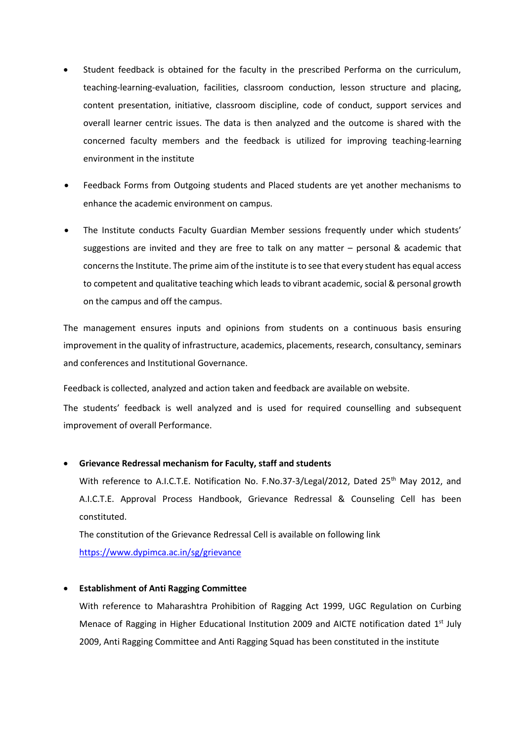- Student feedback is obtained for the faculty in the prescribed Performa on the curriculum, teaching-learning-evaluation, facilities, classroom conduction, lesson structure and placing, content presentation, initiative, classroom discipline, code of conduct, support services and overall learner centric issues. The data is then analyzed and the outcome is shared with the concerned faculty members and the feedback is utilized for improving teaching-learning environment in the institute
- Feedback Forms from Outgoing students and Placed students are yet another mechanisms to enhance the academic environment on campus.
- The Institute conducts Faculty Guardian Member sessions frequently under which students' suggestions are invited and they are free to talk on any matter – personal & academic that concerns the Institute. The prime aim of the institute is to see that every student has equal access to competent and qualitative teaching which leads to vibrant academic, social & personal growth on the campus and off the campus.

The management ensures inputs and opinions from students on a continuous basis ensuring improvement in the quality of infrastructure, academics, placements, research, consultancy, seminars and conferences and Institutional Governance.

Feedback is collected, analyzed and action taken and feedback are available on website.

The students' feedback is well analyzed and is used for required counselling and subsequent improvement of overall Performance.

#### **Grievance Redressal mechanism for Faculty, staff and students**

With reference to A.I.C.T.E. Notification No. F.No.37-3/Legal/2012, Dated 25<sup>th</sup> May 2012, and A.I.C.T.E. Approval Process Handbook, Grievance Redressal & Counseling Cell has been constituted.

The constitution of the Grievance Redressal Cell is available on following link <https://www.dypimca.ac.in/sg/grievance>

#### **Establishment of Anti Ragging Committee**

With reference to Maharashtra Prohibition of Ragging Act 1999, UGC Regulation on Curbing Menace of Ragging in Higher Educational Institution 2009 and AICTE notification dated 1<sup>st</sup> July 2009, Anti Ragging Committee and Anti Ragging Squad has been constituted in the institute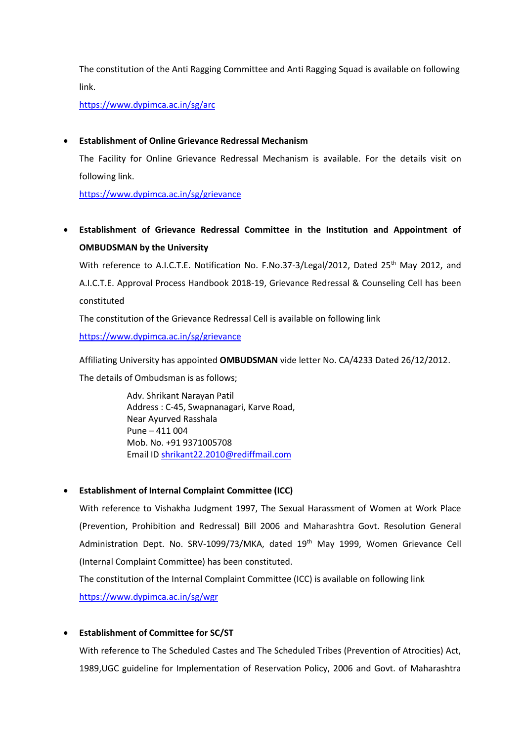The constitution of the Anti Ragging Committee and Anti Ragging Squad is available on following link.

<https://www.dypimca.ac.in/sg/arc>

#### **Establishment of Online Grievance Redressal Mechanism**

The Facility for Online Grievance Redressal Mechanism is available. For the details visit on following link.

<https://www.dypimca.ac.in/sg/grievance>

 **Establishment of Grievance Redressal Committee in the Institution and Appointment of OMBUDSMAN by the University**

With reference to A.I.C.T.E. Notification No. F.No.37-3/Legal/2012, Dated 25<sup>th</sup> May 2012, and A.I.C.T.E. Approval Process Handbook 2018-19, Grievance Redressal & Counseling Cell has been constituted

The constitution of the Grievance Redressal Cell is available on following link

<https://www.dypimca.ac.in/sg/grievance>

Affiliating University has appointed **OMBUDSMAN** vide letter No. CA/4233 Dated 26/12/2012.

The details of Ombudsman is as follows;

Adv. Shrikant Narayan Patil Address : C-45, Swapnanagari, Karve Road, Near Ayurved Rasshala Pune – 411 004 Mob. No. +91 9371005708 Email ID [shrikant22.2010@rediffmail.com](mailto:shrikant22.2010@rediffmail.com)

### **Establishment of Internal Complaint Committee (ICC)**

With reference to Vishakha Judgment 1997, The Sexual Harassment of Women at Work Place (Prevention, Prohibition and Redressal) Bill 2006 and Maharashtra Govt. Resolution General Administration Dept. No. SRV-1099/73/MKA, dated 19<sup>th</sup> May 1999, Women Grievance Cell (Internal Complaint Committee) has been constituted.

The constitution of the Internal Complaint Committee (ICC) is available on following link <https://www.dypimca.ac.in/sg/wgr>

### **Establishment of Committee for SC/ST**

With reference to The Scheduled Castes and The Scheduled Tribes (Prevention of Atrocities) Act, 1989,UGC guideline for Implementation of Reservation Policy, 2006 and Govt. of Maharashtra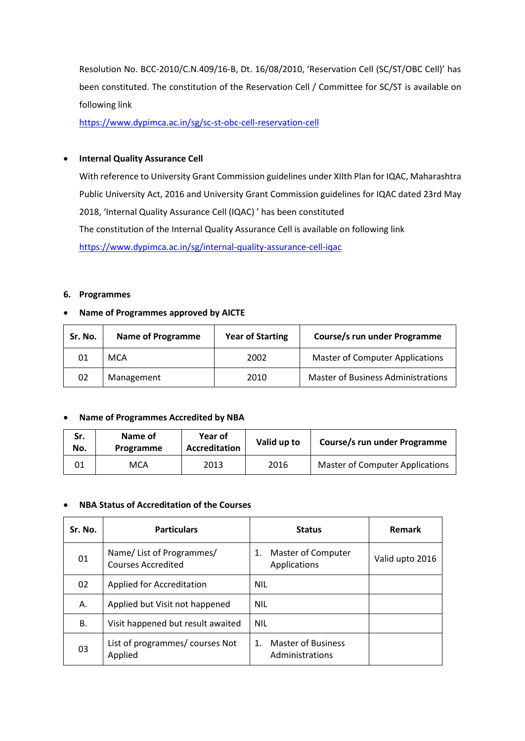Resolution No. BCC-2010/C.N.409/16-B, Dt. 16/08/2010, 'Reservation Cell (SC/ST/OBC Cell)' has been constituted. The constitution of the Reservation Cell / Committee for SC/ST is available on following link

<https://www.dypimca.ac.in/sg/sc-st-obc-cell-reservation-cell>

#### **•** Internal Quality Assurance Cell

With reference to University Grant Commission guidelines under XIIth Plan for IQAC, Maharashtra Public University Act, 2016 and University Grant Commission guidelines for IQAC dated 23rd May 2018, 'Internal Quality Assurance Cell (IQAC) ' has been constituted The constitution of the Internal Quality Assurance Cell is available on following link <https://www.dypimca.ac.in/sg/internal-quality-assurance-cell-iqac>

#### **6. Programmes**

#### **Name of Programmes approved by AICTE**

| Sr. No. | <b>Name of Programme</b> | <b>Year of Starting</b> | Course/s run under Programme              |
|---------|--------------------------|-------------------------|-------------------------------------------|
| 01      | <b>MCA</b>               | 2002                    | <b>Master of Computer Applications</b>    |
| 02      | Management               | 2010                    | <b>Master of Business Administrations</b> |

#### **Name of Programmes Accredited by NBA**

| Sr.<br>No. | Name of<br>Programme | Year of<br>Accreditation | Valid up to | Course/s run under Programme           |
|------------|----------------------|--------------------------|-------------|----------------------------------------|
|            | MCA                  | 2013                     | 2016        | <b>Master of Computer Applications</b> |

#### **NBA Status of Accreditation of the Courses**

| Sr. No. | <b>Particulars</b>                             | <b>Status</b>                                           | <b>Remark</b>   |
|---------|------------------------------------------------|---------------------------------------------------------|-----------------|
| 01      | Name/List of Programmes/<br>Courses Accredited | Master of Computer<br>1.<br>Applications                | Valid upto 2016 |
| 02      | Applied for Accreditation                      | <b>NIL</b>                                              |                 |
| А.      | Applied but Visit not happened                 | <b>NIL</b>                                              |                 |
| В.      | Visit happened but result awaited              | <b>NIL</b>                                              |                 |
| 03      | List of programmes/ courses Not<br>Applied     | <b>Master of Business</b><br>$1_{-}$<br>Administrations |                 |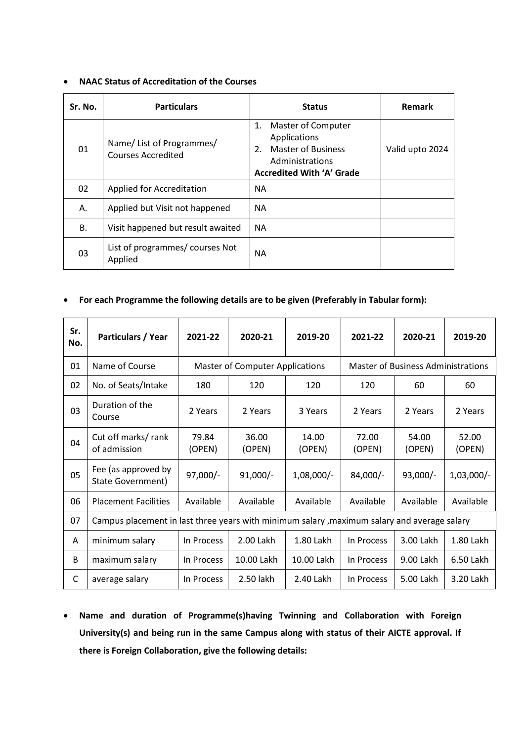#### **NAAC Status of Accreditation of the Courses**

| Sr. No. | <b>Particulars</b>                             | <b>Status</b>                                                                                                                   | Remark          |
|---------|------------------------------------------------|---------------------------------------------------------------------------------------------------------------------------------|-----------------|
| 01      | Name/List of Programmes/<br>Courses Accredited | 1. Master of Computer<br>Applications<br><b>Master of Business</b><br>2.<br>Administrations<br><b>Accredited With 'A' Grade</b> | Valid upto 2024 |
| 02      | Applied for Accreditation                      | NA.                                                                                                                             |                 |
| Α.      | Applied but Visit not happened                 | <b>NA</b>                                                                                                                       |                 |
| В.      | Visit happened but result awaited              | <b>NA</b>                                                                                                                       |                 |
| 03      | List of programmes/ courses Not<br>Applied     | NA.                                                                                                                             |                 |

#### **For each Programme the following details are to be given (Preferably in Tabular form):**

| Sr.<br>No. | <b>Particulars / Year</b>                                                                    | 2021-22         | 2020-21                                | 2019-20         | 2021-22                                   | 2020-21         | 2019-20         |  |
|------------|----------------------------------------------------------------------------------------------|-----------------|----------------------------------------|-----------------|-------------------------------------------|-----------------|-----------------|--|
| 01         | Name of Course                                                                               |                 | <b>Master of Computer Applications</b> |                 | <b>Master of Business Administrations</b> |                 |                 |  |
| 02         | No. of Seats/Intake                                                                          | 180             | 120                                    | 120             | 120                                       | 60              | 60              |  |
| 03         | Duration of the<br>Course                                                                    | 2 Years         | 2 Years                                | 3 Years         | 2 Years                                   | 2 Years         | 2 Years         |  |
| 04         | Cut off marks/ rank<br>of admission                                                          | 79.84<br>(OPEN) | 36.00<br>(OPEN)                        | 14.00<br>(OPEN) | 72.00<br>(OPEN)                           | 54.00<br>(OPEN) | 52.00<br>(OPEN) |  |
| 05         | Fee (as approved by<br>State Government)                                                     | $97,000/-$      | $91,000/-$                             | $1,08,000/-$    | 84,000/-                                  | $93,000/-$      | $1,03,000/-$    |  |
| 06         | <b>Placement Facilities</b>                                                                  | Available       | Available                              | Available       | Available                                 | Available       | Available       |  |
| 07         | Campus placement in last three years with minimum salary , maximum salary and average salary |                 |                                        |                 |                                           |                 |                 |  |
| A          | minimum salary                                                                               | In Process      | 2.00 Lakh                              | 1.80 Lakh       | In Process                                | 3.00 Lakh       | 1.80 Lakh       |  |
| B          | maximum salary                                                                               | In Process      | 10.00 Lakh                             | 10.00 Lakh      | In Process                                | 9.00 Lakh       | 6.50 Lakh       |  |
| C          | average salary                                                                               | In Process      | 2.50 lakh                              | 2.40 Lakh       | In Process                                | 5.00 Lakh       | 3.20 Lakh       |  |

 **Name and duration of Programme(s)having Twinning and Collaboration with Foreign University(s) and being run in the same Campus along with status of their AICTE approval. If there is Foreign Collaboration, give the following details:**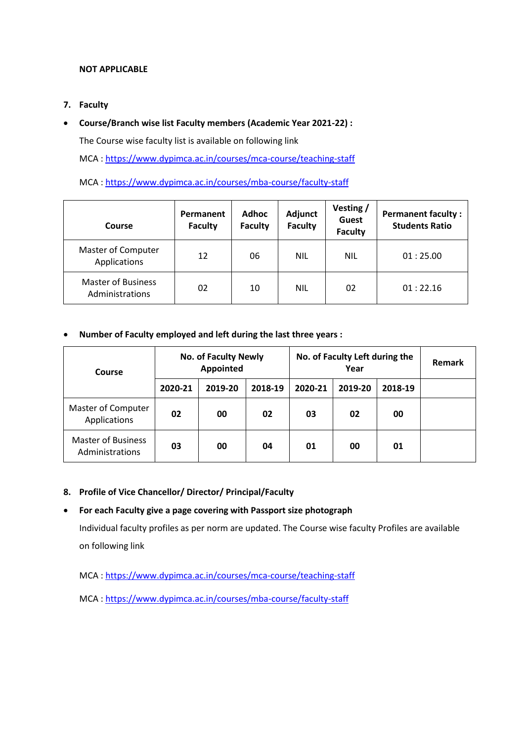#### **NOT APPLICABLE**

**7. Faculty**

### **Course/Branch wise list Faculty members (Academic Year 2021-22) :**

The Course wise faculty list is available on following link

MCA [: https://www.dypimca.ac.in/courses/mca-course/teaching-staff](https://www.dypimca.ac.in/courses/mca-course/teaching-staff)

### MCA [: https://www.dypimca.ac.in/courses/mba-course/faculty-staff](https://www.dypimca.ac.in/courses/mba-course/faculty-staff)

| Course                                       | <b>Adhoc</b><br>Permanent<br><b>Faculty</b><br><b>Faculty</b> |    | Adjunct<br><b>Faculty</b> | Vesting /<br><b>Guest</b><br><b>Faculty</b> | <b>Permanent faculty:</b><br><b>Students Ratio</b> |
|----------------------------------------------|---------------------------------------------------------------|----|---------------------------|---------------------------------------------|----------------------------------------------------|
| Master of Computer<br>Applications           | 12                                                            | 06 | <b>NIL</b>                | <b>NIL</b>                                  | 01:25.00                                           |
| <b>Master of Business</b><br>Administrations | 02                                                            | 10 | <b>NIL</b>                | 02                                          | 01:22.16                                           |

### **Number of Faculty employed and left during the last three years :**

| Course                                       |         | <b>No. of Faculty Newly</b><br>Appointed |         | No. of Faculty Left during the | <b>Remark</b> |         |  |
|----------------------------------------------|---------|------------------------------------------|---------|--------------------------------|---------------|---------|--|
|                                              | 2020-21 | 2019-20                                  | 2018-19 | 2020-21                        | 2019-20       | 2018-19 |  |
| Master of Computer<br>Applications           | 02      | 00                                       | 02      | 03                             | 02            | 00      |  |
| <b>Master of Business</b><br>Administrations | 03      | 00                                       | 04      | 01                             | 00            | 01      |  |

### **8. Profile of Vice Chancellor/ Director/ Principal/Faculty**

### **For each Faculty give a page covering with Passport size photograph**

Individual faculty profiles as per norm are updated. The Course wise faculty Profiles are available on following link

MCA [: https://www.dypimca.ac.in/courses/mca-course/teaching-staff](https://www.dypimca.ac.in/courses/mca-course/teaching-staff)

MCA [: https://www.dypimca.ac.in/courses/mba-course/faculty-staff](https://www.dypimca.ac.in/courses/mba-course/faculty-staff)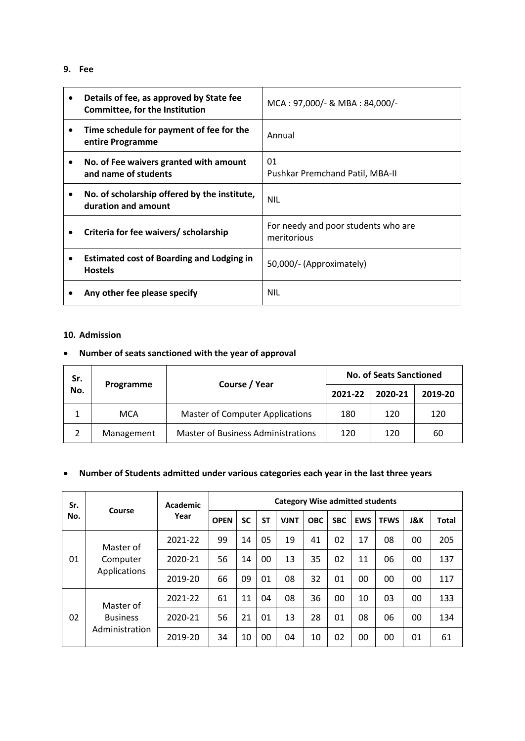# **9. Fee**

| Details of fee, as approved by State fee<br>Committee, for the Institution | MCA: 97,000/- & MBA: 84,000/-                      |
|----------------------------------------------------------------------------|----------------------------------------------------|
| Time schedule for payment of fee for the<br>entire Programme               | Annual                                             |
| No. of Fee waivers granted with amount<br>and name of students             | 01<br>Pushkar Premchand Patil, MBA-II              |
| No. of scholarship offered by the institute,<br>duration and amount        | <b>NIL</b>                                         |
| Criteria for fee waivers/ scholarship                                      | For needy and poor students who are<br>meritorious |
| <b>Estimated cost of Boarding and Lodging in</b><br><b>Hostels</b>         | 50,000/- (Approximately)                           |
| Any other fee please specify                                               | NIL                                                |

#### **10. Admission**

# **Number of seats sanctioned with the year of approval**

| Sr. | Programme  | Course / Year                             | <b>No. of Seats Sanctioned</b> |         |         |  |
|-----|------------|-------------------------------------------|--------------------------------|---------|---------|--|
| No. |            |                                           | 2021-22                        | 2020-21 | 2019-20 |  |
|     | <b>MCA</b> | <b>Master of Computer Applications</b>    | 180                            | 120     | 120     |  |
|     | Management | <b>Master of Business Administrations</b> | 120                            | 120     | 60      |  |

# **Number of Students admitted under various categories each year in the last three years**

| Sr. | Course                            | Academic<br>Year |             | <b>Category Wise admitted students</b> |           |             |            |            |            |             |                |              |
|-----|-----------------------------------|------------------|-------------|----------------------------------------|-----------|-------------|------------|------------|------------|-------------|----------------|--------------|
| No. |                                   |                  | <b>OPEN</b> | SC                                     | <b>ST</b> | <b>VJNT</b> | <b>OBC</b> | <b>SBC</b> | <b>EWS</b> | <b>TFWS</b> | <b>J&amp;K</b> | <b>Total</b> |
|     | Master of                         | 2021-22          | 99          | 14                                     | 05        | 19          | 41         | 02         | 17         | 08          | 00             | 205          |
| 01  | Computer<br>Applications          | 2020-21          | 56          | 14                                     | 00        | 13          | 35         | 02         | 11         | 06          | 00             | 137          |
|     |                                   | 2019-20          | 66          | 09                                     | 01        | 08          | 32         | 01         | 00         | 00          | 00             | 117          |
|     | Master of                         | 2021-22          | 61          | 11                                     | 04        | 08          | 36         | 00         | 10         | 03          | 00             | 133          |
| 02  | <b>Business</b><br>Administration | 2020-21          | 56          | 21                                     | 01        | 13          | 28         | 01         | 08         | 06          | 00             | 134          |
|     |                                   | 2019-20          | 34          | 10                                     | 00        | 04          | 10         | 02         | 00         | 00          | 01             | 61           |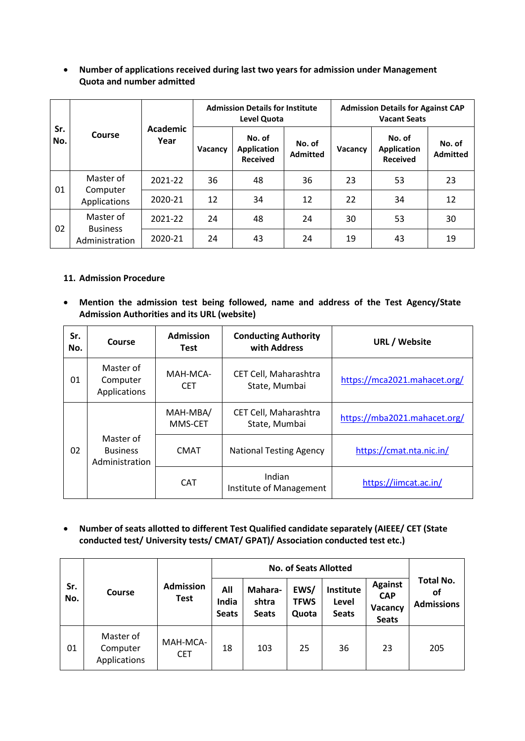#### **Number of applications received during last two years for admission under Management Quota and number admitted**

| Sr.<br>No. | Course                                         |                         |         | <b>Admission Details for Institute</b><br><b>Level Quota</b> |                           | <b>Admission Details for Against CAP</b><br><b>Vacant Seats</b> |                                          |                           |  |
|------------|------------------------------------------------|-------------------------|---------|--------------------------------------------------------------|---------------------------|-----------------------------------------------------------------|------------------------------------------|---------------------------|--|
|            |                                                | <b>Academic</b><br>Year | Vacancy | No. of<br><b>Application</b><br><b>Received</b>              | No. of<br><b>Admitted</b> | Vacancy                                                         | No. of<br>Application<br><b>Received</b> | No. of<br><b>Admitted</b> |  |
|            | Master of<br>Computer<br>Applications          | 2021-22                 | 36      | 48                                                           | 36                        | 23                                                              | 53                                       | 23                        |  |
| 01         |                                                | 2020-21                 | 12      | 34                                                           | 12                        | 22                                                              | 34                                       | 12                        |  |
|            | Master of<br><b>Business</b><br>Administration | 2021-22                 | 24      | 48                                                           | 24                        | 30                                                              | 53                                       | 30                        |  |
| 02         |                                                | 2020-21                 | 24      | 43                                                           | 24                        | 19                                                              | 43                                       | 19                        |  |

### **11. Admission Procedure**

 **Mention the admission test being followed, name and address of the Test Agency/State Admission Authorities and its URL (website)**

| Sr.<br>No. | Course                                         | <b>Admission</b><br>Test | <b>Conducting Authority</b><br>with Address | <b>URL / Website</b>         |
|------------|------------------------------------------------|--------------------------|---------------------------------------------|------------------------------|
| 01         | Master of<br>Computer<br>Applications          | MAH-MCA-<br><b>CET</b>   | CET Cell, Maharashtra<br>State, Mumbai      | https://mca2021.mahacet.org/ |
|            |                                                | MAH-MBA/<br>MMS-CET      | CET Cell, Maharashtra<br>State, Mumbai      | https://mba2021.mahacet.org/ |
| 02         | Master of<br><b>Business</b><br>Administration | <b>CMAT</b>              | <b>National Testing Agency</b>              | https://cmat.nta.nic.in/     |
|            |                                                | <b>CAT</b>               | Indian<br>Institute of Management           | https://iimcat.ac.in/        |

 **Number of seats allotted to different Test Qualified candidate separately (AIEEE/ CET (State conducted test/ University tests/ CMAT/ GPAT)/ Association conducted test etc.)**

| Sr.<br>No. | Course                                |                                 |                              |                                  |                              |                                    |                                                         |                                             |
|------------|---------------------------------------|---------------------------------|------------------------------|----------------------------------|------------------------------|------------------------------------|---------------------------------------------------------|---------------------------------------------|
|            |                                       | <b>Admission</b><br><b>Test</b> | All<br>India<br><b>Seats</b> | Mahara-<br>shtra<br><b>Seats</b> | EWS/<br><b>TFWS</b><br>Quota | Institute<br>Level<br><b>Seats</b> | <b>Against</b><br><b>CAP</b><br>Vacancy<br><b>Seats</b> | <b>Total No.</b><br>οf<br><b>Admissions</b> |
| 01         | Master of<br>Computer<br>Applications | MAH-MCA-<br><b>CET</b>          | 18                           | 103                              | 25                           | 36                                 | 23                                                      | 205                                         |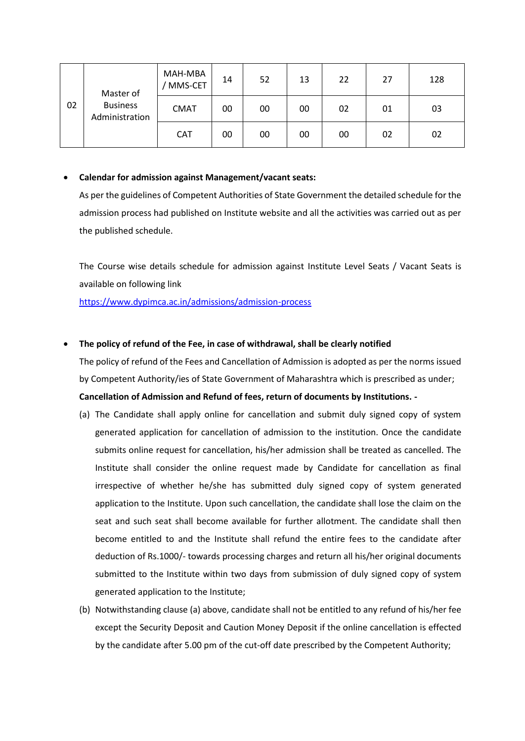| 02 | Master of<br><b>Business</b><br>Administration | MAH-MBA<br>MMS-CET | 14 | 52 | 13 | 22 | 27 | 128 |
|----|------------------------------------------------|--------------------|----|----|----|----|----|-----|
|    |                                                | <b>CMAT</b>        | 00 | 00 | 00 | 02 | 01 | 03  |
|    |                                                | <b>CAT</b>         | 00 | 00 | 00 | 00 | 02 | 02  |

#### **Calendar for admission against Management/vacant seats:**

As per the guidelines of Competent Authorities of State Government the detailed schedule for the admission process had published on Institute website and all the activities was carried out as per the published schedule.

The Course wise details schedule for admission against Institute Level Seats / Vacant Seats is available on following link

<https://www.dypimca.ac.in/admissions/admission-process>

### **The policy of refund of the Fee, in case of withdrawal, shall be clearly notified**

The policy of refund of the Fees and Cancellation of Admission is adopted as per the norms issued by Competent Authority/ies of State Government of Maharashtra which is prescribed as under;

### **Cancellation of Admission and Refund of fees, return of documents by Institutions. -**

- (a) The Candidate shall apply online for cancellation and submit duly signed copy of system generated application for cancellation of admission to the institution. Once the candidate submits online request for cancellation, his/her admission shall be treated as cancelled. The Institute shall consider the online request made by Candidate for cancellation as final irrespective of whether he/she has submitted duly signed copy of system generated application to the Institute. Upon such cancellation, the candidate shall lose the claim on the seat and such seat shall become available for further allotment. The candidate shall then become entitled to and the Institute shall refund the entire fees to the candidate after deduction of Rs.1000/- towards processing charges and return all his/her original documents submitted to the Institute within two days from submission of duly signed copy of system generated application to the Institute;
- (b) Notwithstanding clause (a) above, candidate shall not be entitled to any refund of his/her fee except the Security Deposit and Caution Money Deposit if the online cancellation is effected by the candidate after 5.00 pm of the cut-off date prescribed by the Competent Authority;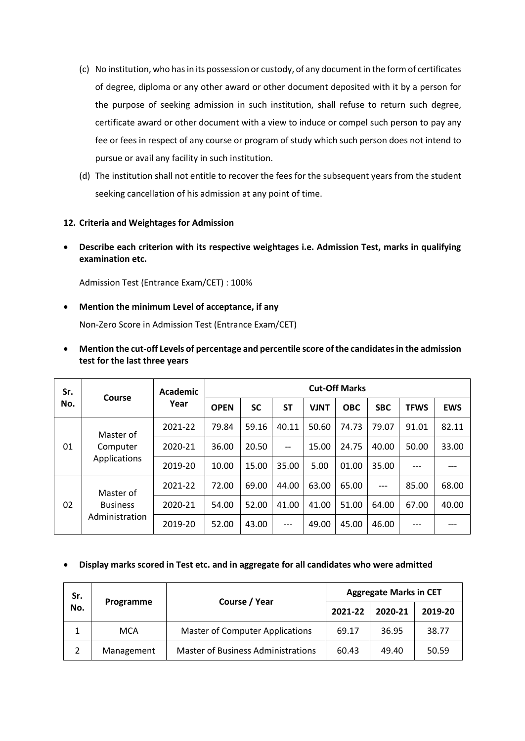- (c) No institution, who has in its possession or custody, of any document in the form of certificates of degree, diploma or any other award or other document deposited with it by a person for the purpose of seeking admission in such institution, shall refuse to return such degree, certificate award or other document with a view to induce or compel such person to pay any fee or fees in respect of any course or program of study which such person does not intend to pursue or avail any facility in such institution.
- (d) The institution shall not entitle to recover the fees for the subsequent years from the student seeking cancellation of his admission at any point of time.

#### **12. Criteria and Weightages for Admission**

 **Describe each criterion with its respective weightages i.e. Admission Test, marks in qualifying examination etc.**

Admission Test (Entrance Exam/CET) : 100%

**Mention the minimum Level of acceptance, if any**

Non-Zero Score in Admission Test (Entrance Exam/CET)

| Sr. | Course                   | <b>Academic</b><br>Year | <b>Cut-Off Marks</b> |           |                          |             |            |            |             |            |  |
|-----|--------------------------|-------------------------|----------------------|-----------|--------------------------|-------------|------------|------------|-------------|------------|--|
| No. |                          |                         | <b>OPEN</b>          | <b>SC</b> | <b>ST</b>                | <b>VJNT</b> | <b>OBC</b> | <b>SBC</b> | <b>TFWS</b> | <b>EWS</b> |  |
| 01  | Master of                | 2021-22                 | 79.84                | 59.16     | 40.11                    | 50.60       | 74.73      | 79.07      | 91.01       | 82.11      |  |
|     | Computer<br>Applications | 2020-21                 | 36.00                | 20.50     | $\overline{\phantom{a}}$ | 15.00       | 24.75      | 40.00      | 50.00       | 33.00      |  |
|     |                          | 2019-20                 | 10.00                | 15.00     | 35.00                    | 5.00        | 01.00      | 35.00      |             |            |  |
|     | Master of                | 2021-22                 | 72.00                | 69.00     | 44.00                    | 63.00       | 65.00      | $---$      | 85.00       | 68.00      |  |
| 02  | <b>Business</b>          | 2020-21                 | 54.00                | 52.00     | 41.00                    | 41.00       | 51.00      | 64.00      | 67.00       | 40.00      |  |
|     | Administration           | 2019-20                 | 52.00                | 43.00     | $---$                    | 49.00       | 45.00      | 46.00      |             |            |  |

 **Mention the cut-off Levels of percentage and percentile score of the candidates in the admission test for the last three years**

#### **Display marks scored in Test etc. and in aggregate for all candidates who were admitted**

| Sr.<br>No.     |            |                                           | <b>Aggregate Marks in CET</b> |         |         |  |
|----------------|------------|-------------------------------------------|-------------------------------|---------|---------|--|
|                | Programme  | Course / Year                             | 2021-22                       | 2020-21 | 2019-20 |  |
| 1              | <b>MCA</b> | <b>Master of Computer Applications</b>    | 69.17                         | 36.95   | 38.77   |  |
| $\overline{2}$ | Management | <b>Master of Business Administrations</b> | 60.43                         | 49.40   | 50.59   |  |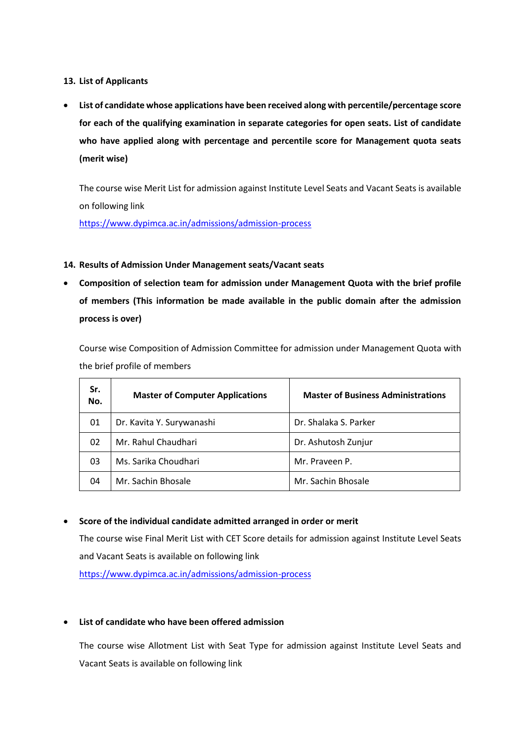**13. List of Applicants**

 **List of candidate whose applications have been received along with percentile/percentage score for each of the qualifying examination in separate categories for open seats. List of candidate who have applied along with percentage and percentile score for Management quota seats (merit wise)**

The course wise Merit List for admission against Institute Level Seats and Vacant Seats is available on following link

<https://www.dypimca.ac.in/admissions/admission-process>

### **14. Results of Admission Under Management seats/Vacant seats**

 **Composition of selection team for admission under Management Quota with the brief profile of members (This information be made available in the public domain after the admission process is over)**

Course wise Composition of Admission Committee for admission under Management Quota with the brief profile of members

| Sr.<br>No. | <b>Master of Computer Applications</b> | <b>Master of Business Administrations</b> |
|------------|----------------------------------------|-------------------------------------------|
| 01         | Dr. Kavita Y. Surywanashi              | Dr. Shalaka S. Parker                     |
| 02         | Mr. Rahul Chaudhari                    | Dr. Ashutosh Zunjur                       |
| 03         | Ms. Sarika Choudhari                   | Mr. Praveen P.                            |
| 04         | Mr. Sachin Bhosale                     | Mr. Sachin Bhosale                        |

#### **Score of the individual candidate admitted arranged in order or merit**

The course wise Final Merit List with CET Score details for admission against Institute Level Seats and Vacant Seats is available on following link

<https://www.dypimca.ac.in/admissions/admission-process>

### **List of candidate who have been offered admission**

The course wise Allotment List with Seat Type for admission against Institute Level Seats and Vacant Seats is available on following link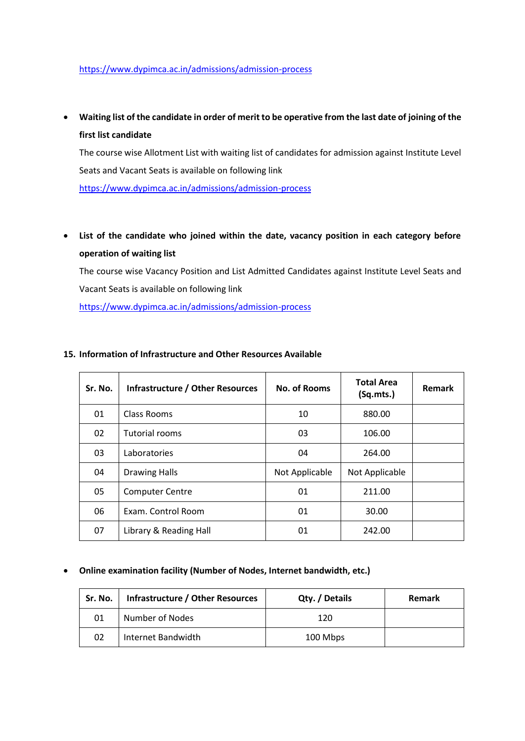#### <https://www.dypimca.ac.in/admissions/admission-process>

 **Waiting list of the candidate in order of merit to be operative from the last date of joining of the first list candidate**

The course wise Allotment List with waiting list of candidates for admission against Institute Level Seats and Vacant Seats is available on following link

<https://www.dypimca.ac.in/admissions/admission-process>

 **List of the candidate who joined within the date, vacancy position in each category before operation of waiting list**

The course wise Vacancy Position and List Admitted Candidates against Institute Level Seats and Vacant Seats is available on following link

<https://www.dypimca.ac.in/admissions/admission-process>

| Sr. No. | Infrastructure / Other Resources | No. of Rooms   | <b>Total Area</b><br>(Sq.mts.) | <b>Remark</b> |
|---------|----------------------------------|----------------|--------------------------------|---------------|
| 01      | Class Rooms                      | 10             | 880.00                         |               |
| 02      | Tutorial rooms                   | 03             | 106.00                         |               |
| 03      | Laboratories                     | 04             | 264.00                         |               |
| 04      | <b>Drawing Halls</b>             | Not Applicable | Not Applicable                 |               |
| 05      | <b>Computer Centre</b>           | 01             | 211.00                         |               |
| 06      | Exam. Control Room               | 01             | 30.00                          |               |
| 07      | Library & Reading Hall           | 01             | 242.00                         |               |

#### **15. Information of Infrastructure and Other Resources Available**

#### **Online examination facility (Number of Nodes, Internet bandwidth, etc.)**

| Sr. No. | Infrastructure / Other Resources | Qty. / Details | Remark |
|---------|----------------------------------|----------------|--------|
| 01      | Number of Nodes                  | 120            |        |
| 02      | Internet Bandwidth               | 100 Mbps       |        |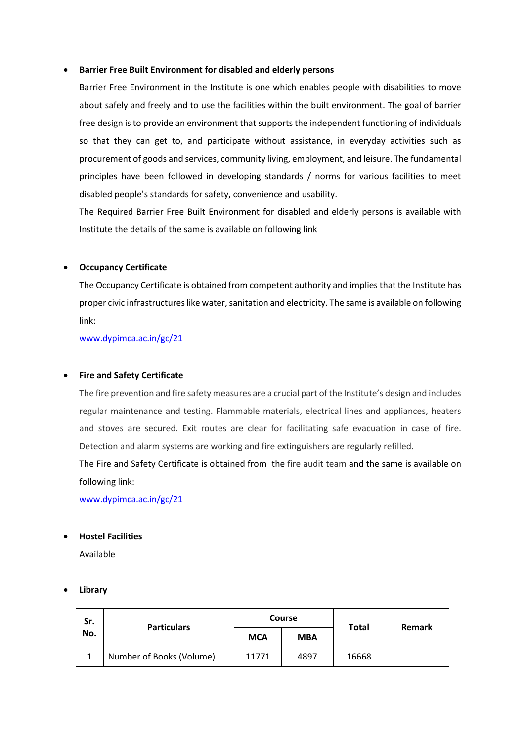#### **Barrier Free Built Environment for disabled and elderly persons**

Barrier Free Environment in the Institute is one which enables people with disabilities to move about safely and freely and to use the facilities within the built environment. The goal of barrier free design is to provide an environment that supports the independent functioning of individuals so that they can get to, and participate without assistance, in everyday activities such as procurement of goods and services, community living, employment, and leisure. The fundamental principles have been followed in developing standards / norms for various facilities to meet disabled people's standards for safety, convenience and usability.

The Required Barrier Free Built Environment for disabled and elderly persons is available with Institute the details of the same is available on following link

#### **Occupancy Certificate**

The Occupancy Certificate is obtained from competent authority and implies that the Institute has proper civic infrastructures like water, sanitation and electricity. The same is available on following link:

[www.dypimca.ac.in/gc/21](http://www.dypimca.ac.in/gc/21)

#### **Fire and Safety Certificate**

The fire prevention and fire safety measures are a crucial part of the Institute's design and includes regular maintenance and testing. Flammable materials, electrical lines and appliances, heaters and stoves are secured. Exit routes are clear for facilitating safe evacuation in case of fire. Detection and alarm systems are working and fire extinguishers are regularly refilled.

The Fire and Safety Certificate is obtained from the fire audit team and the same is available on following link:

[www.dypimca.ac.in/gc/21](http://www.dypimca.ac.in/gc/21)

#### **Hostel Facilities**

Available

#### **Library**

| Sr.<br>No. | <b>Particulars</b>       | <b>Course</b> |            | <b>Total</b> | Remark |  |
|------------|--------------------------|---------------|------------|--------------|--------|--|
|            |                          | <b>MCA</b>    | <b>MBA</b> |              |        |  |
|            | Number of Books (Volume) | 11771         | 4897       | 16668        |        |  |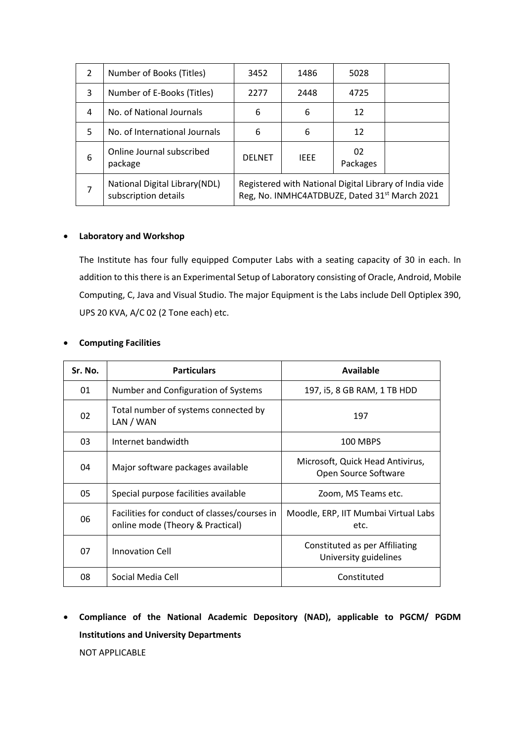| 2 | Number of Books (Titles)                               | 3452                                                                                                    | 1486        | 5028           |  |
|---|--------------------------------------------------------|---------------------------------------------------------------------------------------------------------|-------------|----------------|--|
| 3 | Number of E-Books (Titles)                             | 2277                                                                                                    | 2448        | 4725           |  |
| 4 | No. of National Journals                               | 6                                                                                                       | 6           | 12             |  |
| 5 | No. of International Journals                          | 6                                                                                                       | 6           | 12             |  |
| 6 | Online Journal subscribed<br>package                   | <b>DELNET</b>                                                                                           | <b>IFFF</b> | 02<br>Packages |  |
| 7 | National Digital Library (NDL)<br>subscription details | Registered with National Digital Library of India vide<br>Reg, No. INMHC4ATDBUZE, Dated 31st March 2021 |             |                |  |

#### **Laboratory and Workshop**

The Institute has four fully equipped Computer Labs with a seating capacity of 30 in each. In addition to this there is an Experimental Setup of Laboratory consisting of Oracle, Android, Mobile Computing, C, Java and Visual Studio. The major Equipment is the Labs include Dell Optiplex 390, UPS 20 KVA, A/C 02 (2 Tone each) etc.

| Sr. No. | <b>Particulars</b>                                                               | Available                                                |
|---------|----------------------------------------------------------------------------------|----------------------------------------------------------|
| 01      | Number and Configuration of Systems                                              | 197, i5, 8 GB RAM, 1 TB HDD                              |
| 02      | Total number of systems connected by<br>LAN / WAN                                | 197                                                      |
| 03      | Internet bandwidth                                                               | 100 MBPS                                                 |
| 04      | Major software packages available                                                | Microsoft, Quick Head Antivirus,<br>Open Source Software |
| 05      | Special purpose facilities available                                             | Zoom, MS Teams etc.                                      |
| 06      | Facilities for conduct of classes/courses in<br>online mode (Theory & Practical) | Moodle, ERP, IIT Mumbai Virtual Labs<br>etc.             |
| 07      | <b>Innovation Cell</b>                                                           | Constituted as per Affiliating<br>University guidelines  |
| 08      | Social Media Cell                                                                | Constituted                                              |

#### **Computing Facilities**

 **Compliance of the National Academic Depository (NAD), applicable to PGCM/ PGDM Institutions and University Departments** NOT APPLICABLE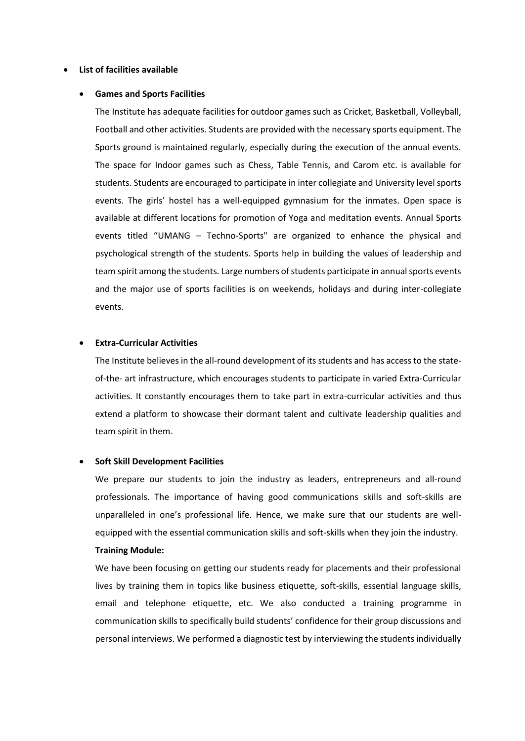#### **List of facilities available**

#### **Games and Sports Facilities**

The Institute has adequate facilities for outdoor games such as Cricket, Basketball, Volleyball, Football and other activities. Students are provided with the necessary sports equipment. The Sports ground is maintained regularly, especially during the execution of the annual events. The space for Indoor games such as Chess, Table Tennis, and Carom etc. is available for students. Students are encouraged to participate in inter collegiate and University level sports events. The girls' hostel has a well-equipped gymnasium for the inmates. Open space is available at different locations for promotion of Yoga and meditation events. Annual Sports events titled "UMANG – Techno-Sports" are organized to enhance the physical and psychological strength of the students. Sports help in building the values of leadership and team spirit among the students. Large numbers of students participate in annual sports events and the major use of sports facilities is on weekends, holidays and during inter-collegiate events.

#### **Extra-Curricular Activities**

The Institute believes in the all-round development of its students and has access to the stateof-the- art infrastructure, which encourages students to participate in varied Extra-Curricular activities. It constantly encourages them to take part in extra-curricular activities and thus extend a platform to showcase their dormant talent and cultivate leadership qualities and team spirit in them.

#### **Soft Skill Development Facilities**

We prepare our students to join the industry as leaders, entrepreneurs and all-round professionals. The importance of having good communications skills and soft-skills are unparalleled in one's professional life. Hence, we make sure that our students are wellequipped with the essential communication skills and soft-skills when they join the industry.

#### **Training Module:**

We have been focusing on getting our students ready for placements and their professional lives by training them in topics like business etiquette, soft-skills, essential language skills, email and telephone etiquette, etc. We also conducted a training programme in communication skills to specifically build students' confidence for their group discussions and personal interviews. We performed a diagnostic test by interviewing the students individually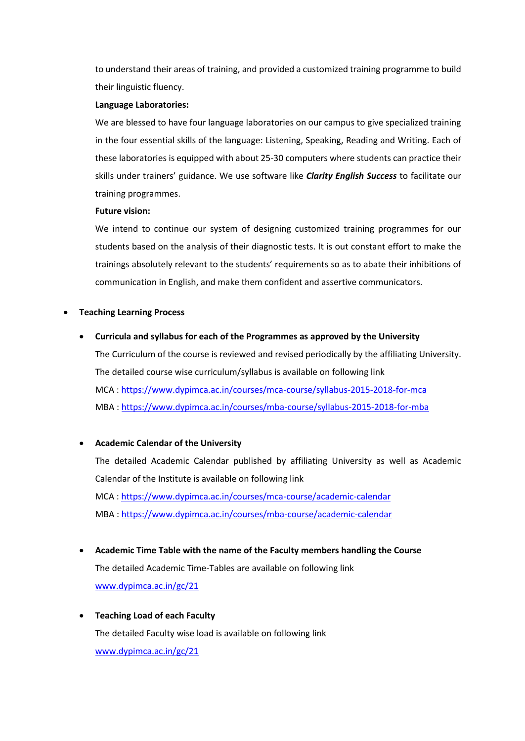to understand their areas of training, and provided a customized training programme to build their linguistic fluency.

#### **Language Laboratories:**

We are blessed to have four language laboratories on our campus to give specialized training in the four essential skills of the language: Listening, Speaking, Reading and Writing. Each of these laboratories is equipped with about 25-30 computers where students can practice their skills under trainers' guidance. We use software like *Clarity English Success* to facilitate our training programmes.

#### **Future vision:**

We intend to continue our system of designing customized training programmes for our students based on the analysis of their diagnostic tests. It is out constant effort to make the trainings absolutely relevant to the students' requirements so as to abate their inhibitions of communication in English, and make them confident and assertive communicators.

#### **Teaching Learning Process**

 **Curricula and syllabus for each of the Programmes as approved by the University** The Curriculum of the course is reviewed and revised periodically by the affiliating University. The detailed course wise curriculum/syllabus is available on following link MCA [: https://www.dypimca.ac.in/courses/mca-course/syllabus-2015-2018-for-mca](https://www.dypimca.ac.in/courses/mca-course/syllabus-2015-2018-for-mca) MBA [: https://www.dypimca.ac.in/courses/mba-course/syllabus-2015-2018-for-mba](https://www.dypimca.ac.in/courses/mba-course/syllabus-2015-2018-for-mba)

#### **Academic Calendar of the University**

The detailed Academic Calendar published by affiliating University as well as Academic Calendar of the Institute is available on following link MCA [: https://www.dypimca.ac.in/courses/mca-course/academic-calendar](https://www.dypimca.ac.in/courses/mca-course/academic-calendar) MBA [: https://www.dypimca.ac.in/courses/mba-course/academic-calendar](https://www.dypimca.ac.in/courses/mba-course/academic-calendar)

- **Academic Time Table with the name of the Faculty members handling the Course** The detailed Academic Time-Tables are available on following link [www.dypimca.ac.in/gc/21](http://www.dypimca.ac.in/gc/21)
- **Teaching Load of each Faculty** The detailed Faculty wise load is available on following link [www.dypimca.ac.in/gc/21](http://www.dypimca.ac.in/gc/21)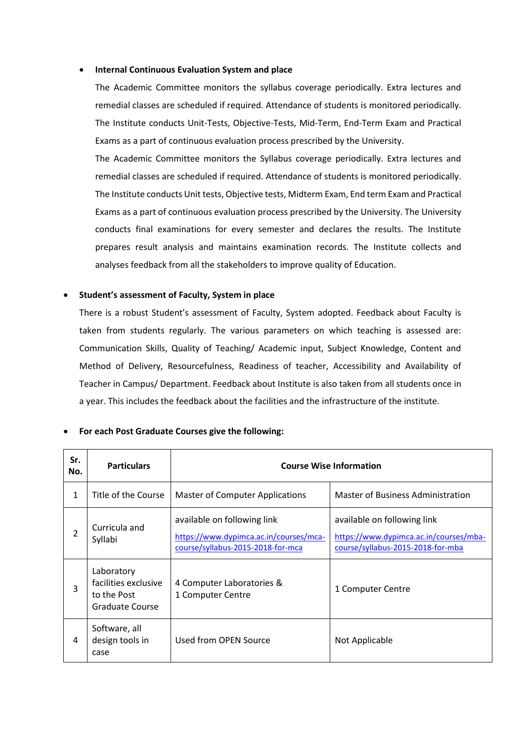#### **Internal Continuous Evaluation System and place**

The Academic Committee monitors the syllabus coverage periodically. Extra lectures and remedial classes are scheduled if required. Attendance of students is monitored periodically. The Institute conducts Unit-Tests, Objective-Tests, Mid-Term, End-Term Exam and Practical Exams as a part of continuous evaluation process prescribed by the University.

The Academic Committee monitors the Syllabus coverage periodically. Extra lectures and remedial classes are scheduled if required. Attendance of students is monitored periodically. The Institute conducts Unit tests, Objective tests, Midterm Exam, End term Exam and Practical Exams as a part of continuous evaluation process prescribed by the University. The University conducts final examinations for every semester and declares the results. The Institute prepares result analysis and maintains examination records. The Institute collects and analyses feedback from all the stakeholders to improve quality of Education.

#### **Student's assessment of Faculty, System in place**

There is a robust Student's assessment of Faculty, System adopted. Feedback about Faculty is taken from students regularly. The various parameters on which teaching is assessed are: Communication Skills, Quality of Teaching/ Academic input, Subject Knowledge, Content and Method of Delivery, Resourcefulness, Readiness of teacher, Accessibility and Availability of Teacher in Campus/ Department. Feedback about Institute is also taken from all students once in a year. This includes the feedback about the facilities and the infrastructure of the institute.

| Sr.<br>No. | <b>Particulars</b>                                                   | <b>Course Wise Information</b>                                                                             |                                                                                                            |  |
|------------|----------------------------------------------------------------------|------------------------------------------------------------------------------------------------------------|------------------------------------------------------------------------------------------------------------|--|
| 1          | Title of the Course                                                  | <b>Master of Computer Applications</b>                                                                     | Master of Business Administration                                                                          |  |
| 2          | Curricula and<br>Syllabi                                             | available on following link<br>https://www.dypimca.ac.in/courses/mca-<br>course/syllabus-2015-2018-for-mca | available on following link<br>https://www.dypimca.ac.in/courses/mba-<br>course/syllabus-2015-2018-for-mba |  |
| 3          | Laboratory<br>facilities exclusive<br>to the Post<br>Graduate Course | 4 Computer Laboratories &<br>1 Computer Centre                                                             | 1 Computer Centre                                                                                          |  |
| 4          | Software, all<br>design tools in<br>case                             | Used from OPEN Source                                                                                      | Not Applicable                                                                                             |  |

#### **For each Post Graduate Courses give the following:**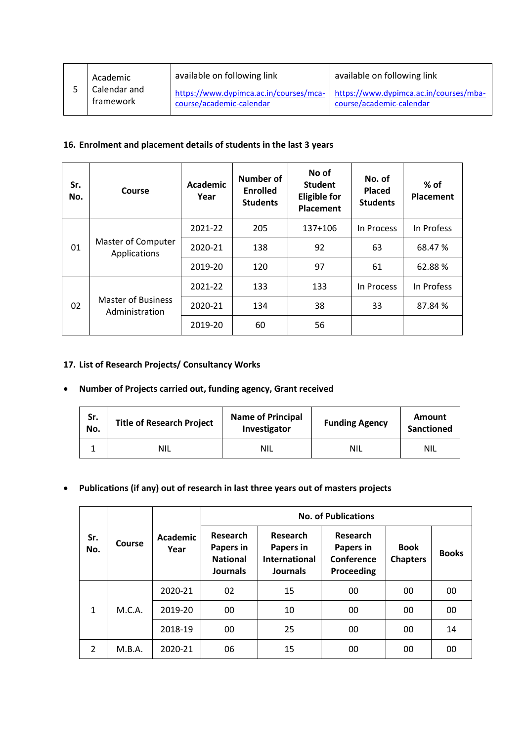|  | Academic                  | available on following link | available on following link                                                                               |
|--|---------------------------|-----------------------------|-----------------------------------------------------------------------------------------------------------|
|  | Calendar and<br>framework | course/academic-calendar    | https://www.dypimca.ac.in/courses/mca- https://www.dypimca.ac.in/courses/mba-<br>course/academic-calendar |

# **16. Enrolment and placement details of students in the last 3 years**

| Sr.<br>No. | Course                                      | Academic<br>Year | <b>Number of</b><br><b>Enrolled</b><br><b>Students</b> | No of<br><b>Student</b><br><b>Eligible for</b><br><b>Placement</b> | No. of<br><b>Placed</b><br><b>Students</b> | $%$ of<br>Placement |
|------------|---------------------------------------------|------------------|--------------------------------------------------------|--------------------------------------------------------------------|--------------------------------------------|---------------------|
| 01         |                                             | 2021-22          | 205                                                    | 137+106                                                            | In Process                                 | In Profess          |
|            | Master of Computer<br>Applications          | 2020-21          | 138                                                    | 92                                                                 | 63                                         | 68.47 %             |
|            |                                             | 2019-20          | 120                                                    | 97                                                                 | 61                                         | 62.88%              |
|            |                                             | 2021-22          | 133                                                    | 133                                                                | In Process                                 | In Profess          |
| 02         | <b>Master of Business</b><br>Administration | 2020-21          | 134                                                    | 38                                                                 | 33                                         | 87.84 %             |
|            |                                             | 2019-20          | 60                                                     | 56                                                                 |                                            |                     |

# **17. List of Research Projects/ Consultancy Works**

### **Number of Projects carried out, funding agency, Grant received**

| Sr.<br>No. | <b>Title of Research Project</b> | <b>Name of Principal</b><br>Investigator | <b>Funding Agency</b> | Amount<br>Sanctioned |
|------------|----------------------------------|------------------------------------------|-----------------------|----------------------|
|            | <b>NIL</b>                       | <b>NIL</b>                               | <b>NIL</b>            | <b>NIL</b>           |

# **Publications (if any) out of research in last three years out of masters projects**

|               |        |                         |                                                             |                                                                  | <b>No. of Publications</b>                        |                                |              |
|---------------|--------|-------------------------|-------------------------------------------------------------|------------------------------------------------------------------|---------------------------------------------------|--------------------------------|--------------|
| Sr.<br>No.    | Course | <b>Academic</b><br>Year | Research<br>Papers in<br><b>National</b><br><b>Journals</b> | Research<br>Papers in<br><b>International</b><br><b>Journals</b> | Research<br>Papers in<br>Conference<br>Proceeding | <b>Book</b><br><b>Chapters</b> | <b>Books</b> |
|               |        | 2020-21                 | 02                                                          | 15                                                               | 00                                                | 00                             | 00           |
| $\mathbf{1}$  | M.C.A. | 2019-20                 | 00                                                          | 10                                                               | 00                                                | 00                             | 00           |
|               |        | 2018-19                 | 00                                                          | 25                                                               | 00                                                | 00                             | 14           |
| $\mathcal{P}$ | M.B.A. | 2020-21                 | 06                                                          | 15                                                               | 00                                                | 00                             | 00           |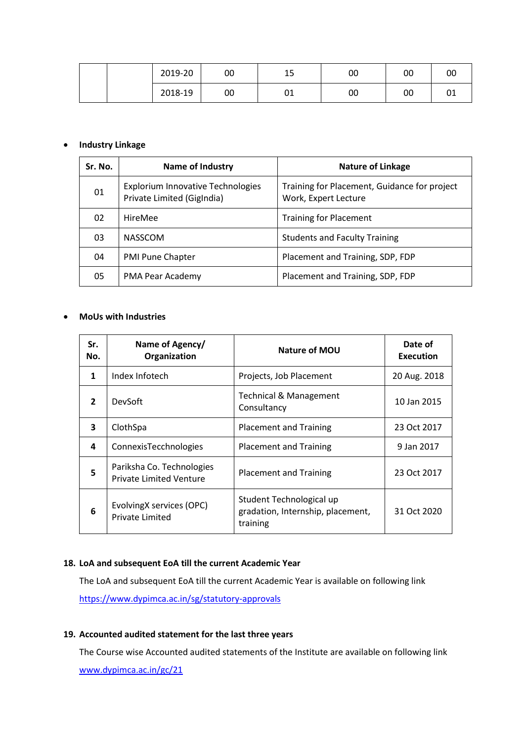|  | 2019-20 | 00 | ᅩ  | 00 | 00 | 00           |
|--|---------|----|----|----|----|--------------|
|  | 2018-19 | 00 | UŦ | 00 | 00 | $\sim$<br>ັັ |

#### **Industry Linkage**

| Sr. No. | Name of Industry                                                       | <b>Nature of Linkage</b>                                             |  |
|---------|------------------------------------------------------------------------|----------------------------------------------------------------------|--|
| 01      | <b>Explorium Innovative Technologies</b><br>Private Limited (GigIndia) | Training for Placement, Guidance for project<br>Work, Expert Lecture |  |
| 02      | HireMee                                                                | <b>Training for Placement</b>                                        |  |
| 03      | <b>NASSCOM</b>                                                         | <b>Students and Faculty Training</b>                                 |  |
| 04      | <b>PMI Pune Chapter</b>                                                | Placement and Training, SDP, FDP                                     |  |
| 05      | PMA Pear Academy                                                       | Placement and Training, SDP, FDP                                     |  |

#### **MoUs with Industries**

| Sr.<br>No.     | Name of Agency/<br>Organization                             | Nature of MOU                                                             | Date of<br><b>Execution</b> |
|----------------|-------------------------------------------------------------|---------------------------------------------------------------------------|-----------------------------|
| 1              | Index Infotech                                              | Projects, Job Placement                                                   | 20 Aug. 2018                |
| $\overline{2}$ | <b>DevSoft</b>                                              | <b>Technical &amp; Management</b><br>Consultancy                          | 10 Jan 2015                 |
| 3              | ClothSpa                                                    | <b>Placement and Training</b>                                             | 23 Oct 2017                 |
| 4              | ConnexisTecchnologies                                       | <b>Placement and Training</b>                                             | 9 Jan 2017                  |
| 5              | Pariksha Co. Technologies<br><b>Private Limited Venture</b> | <b>Placement and Training</b>                                             | 23 Oct 2017                 |
| 6              | EvolvingX services (OPC)<br><b>Private Limited</b>          | Student Technological up<br>gradation, Internship, placement,<br>training | 31 Oct 2020                 |

#### **18. LoA and subsequent EoA till the current Academic Year**

The LoA and subsequent EoA till the current Academic Year is available on following link <https://www.dypimca.ac.in/sg/statutory-approvals>

#### **19. Accounted audited statement for the last three years**

The Course wise Accounted audited statements of the Institute are available on following link

[www.dypimca.ac.in/gc/21](http://www.dypimca.ac.in/gc/21)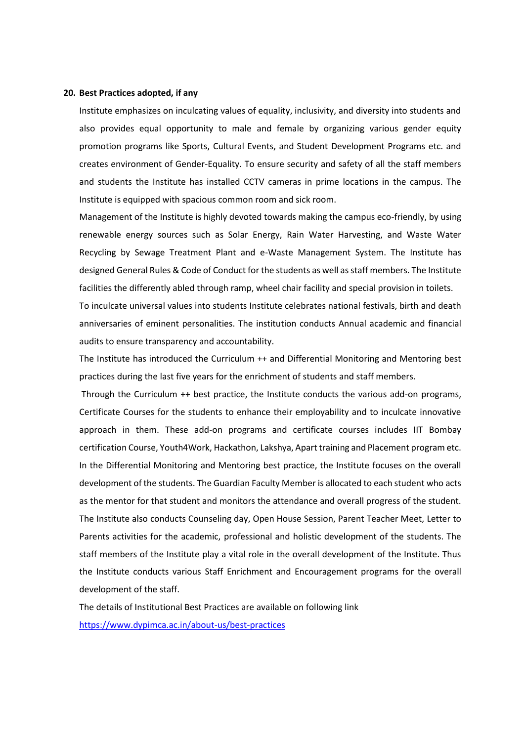#### **20. Best Practices adopted, if any**

Institute emphasizes on inculcating values of equality, inclusivity, and diversity into students and also provides equal opportunity to male and female by organizing various gender equity promotion programs like Sports, Cultural Events, and Student Development Programs etc. and creates environment of Gender-Equality. To ensure security and safety of all the staff members and students the Institute has installed CCTV cameras in prime locations in the campus. The Institute is equipped with spacious common room and sick room.

Management of the Institute is highly devoted towards making the campus eco-friendly, by using renewable energy sources such as Solar Energy, Rain Water Harvesting, and Waste Water Recycling by Sewage Treatment Plant and e-Waste Management System. The Institute has designed General Rules & Code of Conduct for the students as well as staff members. The Institute facilities the differently abled through ramp, wheel chair facility and special provision in toilets.

To inculcate universal values into students Institute celebrates national festivals, birth and death anniversaries of eminent personalities. The institution conducts Annual academic and financial audits to ensure transparency and accountability.

The Institute has introduced the Curriculum ++ and Differential Monitoring and Mentoring best practices during the last five years for the enrichment of students and staff members.

Through the Curriculum ++ best practice, the Institute conducts the various add-on programs, Certificate Courses for the students to enhance their employability and to inculcate innovative approach in them. These add-on programs and certificate courses includes IIT Bombay certification Course, Youth4Work, Hackathon, Lakshya, Apart training and Placement program etc. In the Differential Monitoring and Mentoring best practice, the Institute focuses on the overall development of the students. The Guardian Faculty Member is allocated to each student who acts as the mentor for that student and monitors the attendance and overall progress of the student. The Institute also conducts Counseling day, Open House Session, Parent Teacher Meet, Letter to Parents activities for the academic, professional and holistic development of the students. The staff members of the Institute play a vital role in the overall development of the Institute. Thus the Institute conducts various Staff Enrichment and Encouragement programs for the overall development of the staff.

The details of Institutional Best Practices are available on following link <https://www.dypimca.ac.in/about-us/best-practices>